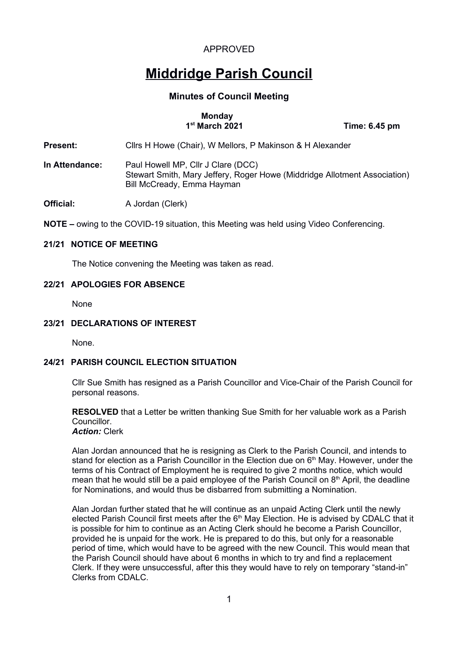## **Middridge Parish Council**

## **Minutes of Council Meeting**

# **Monday**<br>**1<sup>st</sup> March 2021**

 **12***<del>me: 6.45 pm</del>* 

**Present:** Cllrs H Howe (Chair), W Mellors, P Makinson & H Alexander

**In Attendance:** Paul Howell MP, Cllr J Clare (DCC) Stewart Smith, Mary Jeffery, Roger Howe (Middridge Allotment Association) Bill McCready, Emma Hayman

**Official:** A Jordan (Clerk)

**NOTE –** owing to the COVID-19 situation, this Meeting was held using Video Conferencing.

## **21/21 NOTICE OF MEETING**

The Notice convening the Meeting was taken as read.

## **22/21 APOLOGIES FOR ABSENCE**

None

## **23/21 DECLARATIONS OF INTEREST**

None.

## **24/21 PARISH COUNCIL ELECTION SITUATION**

Cllr Sue Smith has resigned as a Parish Councillor and Vice-Chair of the Parish Council for personal reasons.

**RESOLVED** that a Letter be written thanking Sue Smith for her valuable work as a Parish Councillor.

*Action:* Clerk

Alan Jordan announced that he is resigning as Clerk to the Parish Council, and intends to stand for election as a Parish Councillor in the Election due on  $6<sup>th</sup>$  May. However, under the terms of his Contract of Employment he is required to give 2 months notice, which would mean that he would still be a paid employee of the Parish Council on  $8<sup>th</sup>$  April, the deadline for Nominations, and would thus be disbarred from submitting a Nomination.

Alan Jordan further stated that he will continue as an unpaid Acting Clerk until the newly elected Parish Council first meets after the  $6<sup>th</sup>$  May Election. He is advised by CDALC that it is possible for him to continue as an Acting Clerk should he become a Parish Councillor, provided he is unpaid for the work. He is prepared to do this, but only for a reasonable period of time, which would have to be agreed with the new Council. This would mean that the Parish Council should have about 6 months in which to try and find a replacement Clerk. If they were unsuccessful, after this they would have to rely on temporary "stand-in" Clerks from CDALC.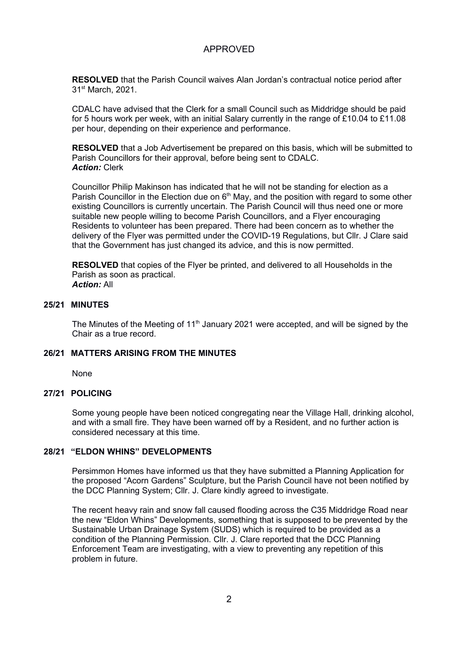**RESOLVED** that the Parish Council waives Alan Jordan's contractual notice period after 31st March, 2021.

CDALC have advised that the Clerk for a small Council such as Middridge should be paid for 5 hours work per week, with an initial Salary currently in the range of £10.04 to £11.08 per hour, depending on their experience and performance.

**RESOLVED** that a Job Advertisement be prepared on this basis, which will be submitted to Parish Councillors for their approval, before being sent to CDALC. *Action:* Clerk

Councillor Philip Makinson has indicated that he will not be standing for election as a Parish Councillor in the Election due on  $6<sup>th</sup>$  May, and the position with regard to some other existing Councillors is currently uncertain. The Parish Council will thus need one or more suitable new people willing to become Parish Councillors, and a Flyer encouraging Residents to volunteer has been prepared. There had been concern as to whether the delivery of the Flyer was permitted under the COVID-19 Regulations, but Cllr. J Clare said that the Government has just changed its advice, and this is now permitted.

**RESOLVED** that copies of the Flyer be printed, and delivered to all Households in the Parish as soon as practical. *Action:* All

## **25/21 MINUTES**

The Minutes of the Meeting of 11<sup>th</sup> January 2021 were accepted, and will be signed by the Chair as a true record.

## **26/21 MATTERS ARISING FROM THE MINUTES**

None

### **27/21 POLICING**

Some young people have been noticed congregating near the Village Hall, drinking alcohol, and with a small fire. They have been warned off by a Resident, and no further action is considered necessary at this time.

### **28/21 "ELDON WHINS" DEVELOPMENTS**

Persimmon Homes have informed us that they have submitted a Planning Application for the proposed "Acorn Gardens" Sculpture, but the Parish Council have not been notified by the DCC Planning System; Cllr. J. Clare kindly agreed to investigate.

The recent heavy rain and snow fall caused flooding across the C35 Middridge Road near the new "Eldon Whins" Developments, something that is supposed to be prevented by the Sustainable Urban Drainage System (SUDS) which is required to be provided as a condition of the Planning Permission. Cllr. J. Clare reported that the DCC Planning Enforcement Team are investigating, with a view to preventing any repetition of this problem in future.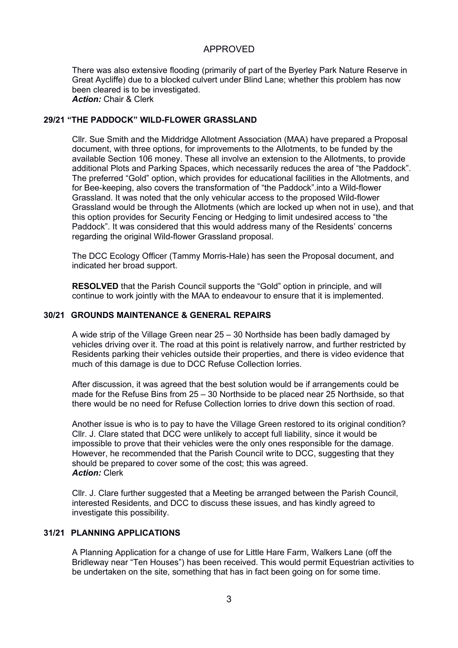There was also extensive flooding (primarily of part of the Byerley Park Nature Reserve in Great Aycliffe) due to a blocked culvert under Blind Lane; whether this problem has now been cleared is to be investigated. *Action:* Chair & Clerk

## **29/21 "THE PADDOCK" WILD-FLOWER GRASSLAND**

Cllr. Sue Smith and the Middridge Allotment Association (MAA) have prepared a Proposal document, with three options, for improvements to the Allotments, to be funded by the available Section 106 money. These all involve an extension to the Allotments, to provide additional Plots and Parking Spaces, which necessarily reduces the area of "the Paddock". The preferred "Gold" option, which provides for educational facilities in the Allotments, and for Bee-keeping, also covers the transformation of "the Paddock".into a Wild-flower Grassland. It was noted that the only vehicular access to the proposed Wild-flower Grassland would be through the Allotments (which are locked up when not in use), and that this option provides for Security Fencing or Hedging to limit undesired access to "the Paddock". It was considered that this would address many of the Residents' concerns regarding the original Wild-flower Grassland proposal.

The DCC Ecology Officer (Tammy Morris-Hale) has seen the Proposal document, and indicated her broad support.

**RESOLVED** that the Parish Council supports the "Gold" option in principle, and will continue to work jointly with the MAA to endeavour to ensure that it is implemented.

## **30/21 GROUNDS MAINTENANCE & GENERAL REPAIRS**

A wide strip of the Village Green near 25 – 30 Northside has been badly damaged by vehicles driving over it. The road at this point is relatively narrow, and further restricted by Residents parking their vehicles outside their properties, and there is video evidence that much of this damage is due to DCC Refuse Collection lorries.

After discussion, it was agreed that the best solution would be if arrangements could be made for the Refuse Bins from 25 – 30 Northside to be placed near 25 Northside, so that there would be no need for Refuse Collection lorries to drive down this section of road.

Another issue is who is to pay to have the Village Green restored to its original condition? Cllr. J. Clare stated that DCC were unlikely to accept full liability, since it would be impossible to prove that their vehicles were the only ones responsible for the damage. However, he recommended that the Parish Council write to DCC, suggesting that they should be prepared to cover some of the cost; this was agreed. *Action:* Clerk

Cllr. J. Clare further suggested that a Meeting be arranged between the Parish Council, interested Residents, and DCC to discuss these issues, and has kindly agreed to investigate this possibility.

## **31/21 PLANNING APPLICATIONS**

A Planning Application for a change of use for Little Hare Farm, Walkers Lane (off the Bridleway near "Ten Houses") has been received. This would permit Equestrian activities to be undertaken on the site, something that has in fact been going on for some time.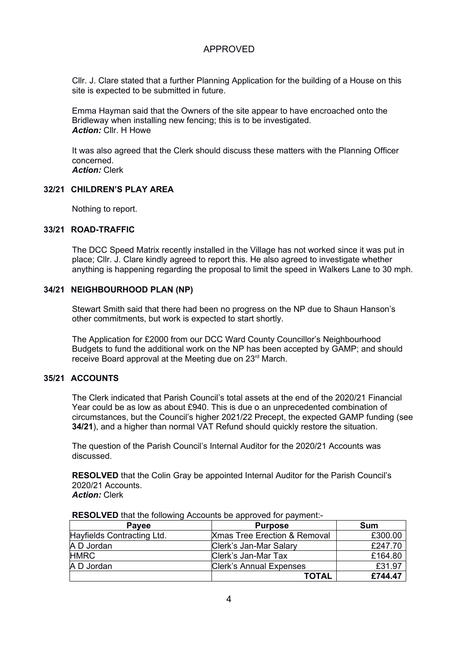Cllr. J. Clare stated that a further Planning Application for the building of a House on this site is expected to be submitted in future.

Emma Hayman said that the Owners of the site appear to have encroached onto the Bridleway when installing new fencing; this is to be investigated. *Action:* Cllr. H Howe

It was also agreed that the Clerk should discuss these matters with the Planning Officer concerned. *Action:* Clerk

## **32/21 CHILDREN'S PLAY AREA**

Nothing to report.

### **33/21 ROAD-TRAFFIC**

The DCC Speed Matrix recently installed in the Village has not worked since it was put in place; Cllr. J. Clare kindly agreed to report this. He also agreed to investigate whether anything is happening regarding the proposal to limit the speed in Walkers Lane to 30 mph.

## **34/21 NEIGHBOURHOOD PLAN (NP)**

Stewart Smith said that there had been no progress on the NP due to Shaun Hanson's other commitments, but work is expected to start shortly.

The Application for £2000 from our DCC Ward County Councillor's Neighbourhood Budgets to fund the additional work on the NP has been accepted by GAMP; and should receive Board approval at the Meeting due on 23<sup>rd</sup> March.

### **35/21 ACCOUNTS**

The Clerk indicated that Parish Council's total assets at the end of the 2020/21 Financial Year could be as low as about £940. This is due o an unprecedented combination of circumstances, but the Council's higher 2021/22 Precept, the expected GAMP funding (see **34/21**), and a higher than normal VAT Refund should quickly restore the situation.

The question of the Parish Council's Internal Auditor for the 2020/21 Accounts was discussed.

**RESOLVED** that the Colin Gray be appointed Internal Auditor for the Parish Council's 2020/21 Accounts. *Action:* Clerk

**RESOLVED** that the following Accounts be approved for payment:-

| <b>Payee</b>               | <b>Purpose</b>                          | Sum     |
|----------------------------|-----------------------------------------|---------|
| Hayfields Contracting Ltd. | <b>Xmas Tree Erection &amp; Removal</b> | £300.00 |
| A D Jordan                 | Clerk's Jan-Mar Salary                  | £247.70 |
| <b>HMRC</b>                | Clerk's Jan-Mar Tax                     | £164.80 |
| A D Jordan                 | <b>Clerk's Annual Expenses</b>          | £31.97  |
|                            | <b>TOTAL</b>                            | £744.47 |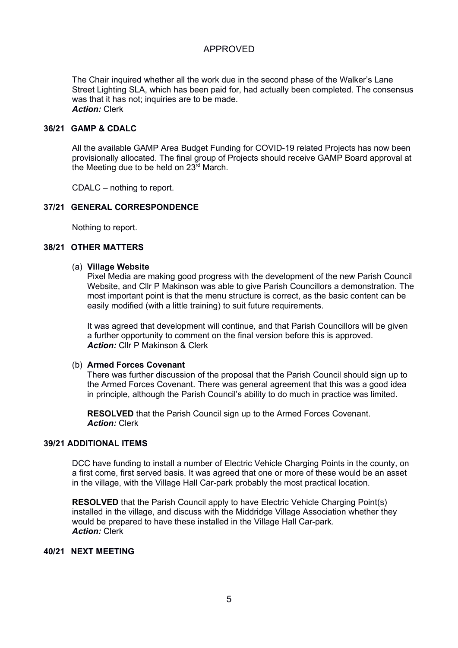The Chair inquired whether all the work due in the second phase of the Walker's Lane Street Lighting SLA, which has been paid for, had actually been completed. The consensus was that it has not; inquiries are to be made. *Action:* Clerk

#### **36/21 GAMP & CDALC**

All the available GAMP Area Budget Funding for COVID-19 related Projects has now been provisionally allocated. The final group of Projects should receive GAMP Board approval at the Meeting due to be held on  $23<sup>rd</sup>$  March.

CDALC – nothing to report.

## **37/21 GENERAL CORRESPONDENCE**

Nothing to report.

### **38/21 OTHER MATTERS**

### (a) **Village Website**

Pixel Media are making good progress with the development of the new Parish Council Website, and Cllr P Makinson was able to give Parish Councillors a demonstration. The most important point is that the menu structure is correct, as the basic content can be easily modified (with a little training) to suit future requirements.

It was agreed that development will continue, and that Parish Councillors will be given a further opportunity to comment on the final version before this is approved. *Action:* Cllr P Makinson & Clerk

### (b) **Armed Forces Covenant**

There was further discussion of the proposal that the Parish Council should sign up to the Armed Forces Covenant. There was general agreement that this was a good idea in principle, although the Parish Council's ability to do much in practice was limited.

**RESOLVED** that the Parish Council sign up to the Armed Forces Covenant. *Action:* Clerk

## **39/21 ADDITIONAL ITEMS**

DCC have funding to install a number of Electric Vehicle Charging Points in the county, on a first come, first served basis. It was agreed that one or more of these would be an asset in the village, with the Village Hall Car-park probably the most practical location.

**RESOLVED** that the Parish Council apply to have Electric Vehicle Charging Point(s) installed in the village, and discuss with the Middridge Village Association whether they would be prepared to have these installed in the Village Hall Car-park. *Action:* Clerk

## **40/21 NEXT MEETING**